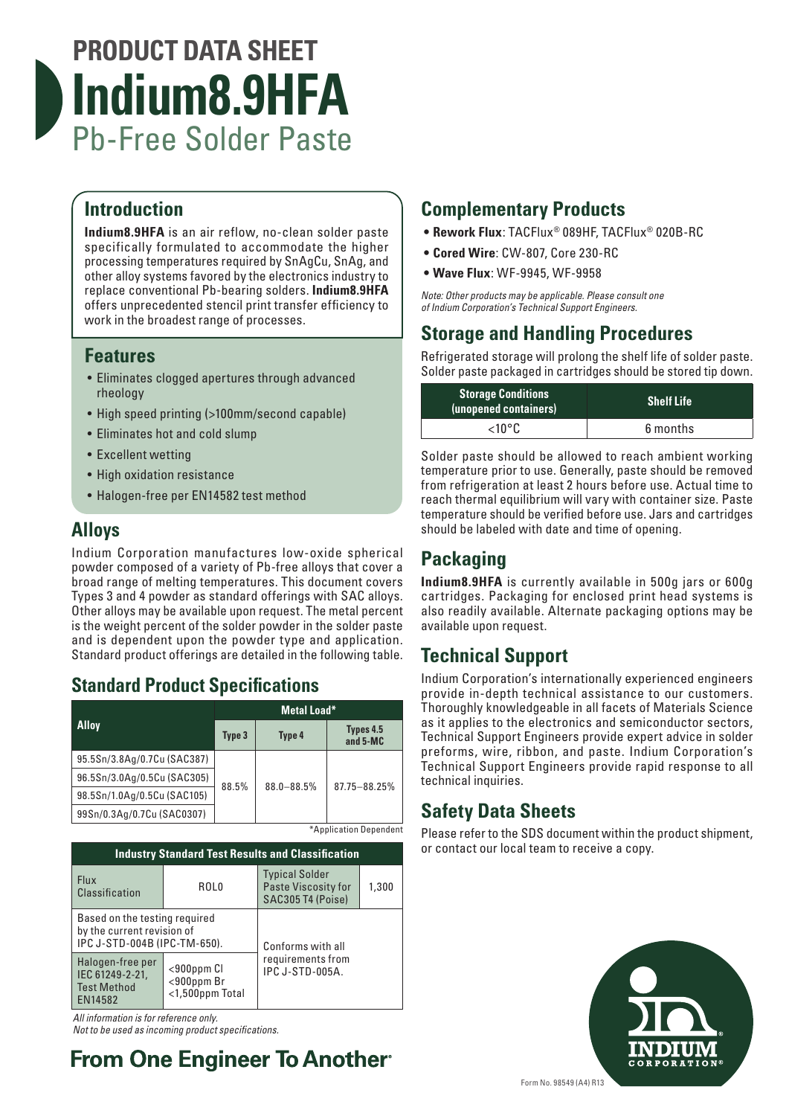

#### **Introduction**

**Indium8.9HFA** is an air reflow, no-clean solder paste specifically formulated to accommodate the higher processing temperatures required by SnAgCu, SnAg, and other alloy systems favored by the electronics industry to replace conventional Pb-bearing solders. **Indium8.9HFA** offers unprecedented stencil print transfer efficiency to work in the broadest range of processes.

#### **Features**

- Eliminates clogged apertures through advanced rheology
- High speed printing (>100mm/second capable)
- Eliminates hot and cold slump
- Excellent wetting
- High oxidation resistance
- Halogen-free per EN14582 test method

### **Alloys**

Indium Corporation manufactures low-oxide spherical powder composed of a variety of Pb-free alloys that cover a broad range of melting temperatures. This document covers Types 3 and 4 powder as standard offerings with SAC alloys. Other alloys may be available upon request. The metal percent is the weight percent of the solder powder in the solder paste and is dependent upon the powder type and application. Standard product offerings are detailed in the following table.

## **Standard Product Specifications**

|                             | <b>Metal Load*</b> |                |                       |
|-----------------------------|--------------------|----------------|-----------------------|
| <b>Alloy</b>                | Type 3             | Type 4         | Types 4.5<br>and 5-MC |
| 95.5Sn/3.8Ag/0.7Cu (SAC387) |                    | $88.0 - 88.5%$ | 87.75-88.25%          |
| 96.5Sn/3.0Ag/0.5Cu (SAC305) | 88.5%              |                |                       |
| 98.5Sn/1.0Ag/0.5Cu (SAC105) |                    |                |                       |
| 99Sn/0.3Ag/0.7Cu (SAC0307)  |                    |                |                       |

\*Application Dependent

| <b>Industry Standard Test Results and Classification</b>                                    |                                                |                                                                          |       |  |  |
|---------------------------------------------------------------------------------------------|------------------------------------------------|--------------------------------------------------------------------------|-------|--|--|
| <b>Flux</b><br>Classification                                                               | ROL0                                           | <b>Typical Solder</b><br><b>Paste Viscosity for</b><br>SAC305 T4 (Poise) | 1,300 |  |  |
| Based on the testing required<br>by the current revision of<br>IPC J-STD-004B (IPC-TM-650). |                                                | Conforms with all                                                        |       |  |  |
| Halogen-free per<br>IEC 61249-2-21,<br><b>Test Method</b><br>EN14582                        | <900ppm Cl<br>$<$ 900ppm Br<br><1,500ppm Total | requirements from<br><b>IPC J-STD-005A.</b>                              |       |  |  |

*All information is for reference only. Not to be used as incoming product specifications.*

**From One Engineer To Another**®

#### **Complementary Products**

- **• Rework Flux**: TACFlux® 089HF, TACFlux® 020B-RC
- **• Cored Wire**: CW-807, Core 230-RC
- **• Wave Flux**: WF-9945, WF-9958

*Note: Other products may be applicable. Please consult one of Indium Corporation's Technical Support Engineers.*

## **Storage and Handling Procedures**

Refrigerated storage will prolong the shelf life of solder paste. Solder paste packaged in cartridges should be stored tip down.

| Storage Conditions<br>(unopened containers) | <b>Shelf Life</b> |
|---------------------------------------------|-------------------|
| $<$ 10°C                                    | 6 months          |

Solder paste should be allowed to reach ambient working temperature prior to use. Generally, paste should be removed from refrigeration at least 2 hours before use. Actual time to reach thermal equilibrium will vary with container size. Paste temperature should be verified before use. Jars and cartridges should be labeled with date and time of opening.

#### **Packaging**

**Indium8.9HFA** is currently available in 500g jars or 600g cartridges. Packaging for enclosed print head systems is also readily available. Alternate packaging options may be available upon request.

#### **Technical Support**

Indium Corporation's internationally experienced engineers provide in-depth technical assistance to our customers. Thoroughly knowledgeable in all facets of Materials Science as it applies to the electronics and semiconductor sectors, Technical Support Engineers provide expert advice in solder preforms, wire, ribbon, and paste. Indium Corporation's Technical Support Engineers provide rapid response to all technical inquiries.

## **Safety Data Sheets**

Please refer to the SDS document within the product shipment, or contact our local team to receive a copy.